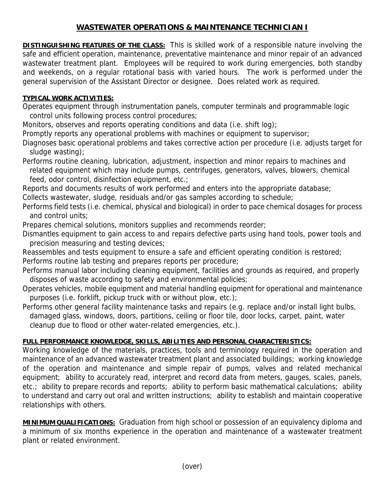## **WASTEWATER OPERATIONS & MAINTENANCE TECHNICIAN I**

**DISTINGUISHING FEATURES OF THE CLASS:** This is skilled work of a responsible nature involving the safe and efficient operation, maintenance, preventative maintenance and minor repair of an advanced wastewater treatment plant. Employees will be required to work during emergencies, both standby and weekends, on a regular rotational basis with varied hours. The work is performed under the general supervision of the Assistant Director or designee. Does related work as required.

## **TYPICAL WORK ACTIVITIES:**

Operates equipment through instrumentation panels, computer terminals and programmable logic control units following process control procedures;

Monitors, observes and reports operating conditions and data (i.e. shift log);

Promptly reports any operational problems with machines or equipment to supervisor;

Diagnoses basic operational problems and takes corrective action per procedure (i.e. adjusts target for sludge wasting);

Performs routine cleaning, lubrication, adjustment, inspection and minor repairs to machines and related equipment which may include pumps, centrifuges, generators, valves, blowers, chemical feed, odor control, disinfection equipment, etc.;

Reports and documents results of work performed and enters into the appropriate database;

Collects wastewater, sludge, residuals and/or gas samples according to schedule;

Performs field tests (i.e. chemical, physical and biological) in order to pace chemical dosages for process and control units;

Prepares chemical solutions, monitors supplies and recommends reorder;

Dismantles equipment to gain access to and repairs defective parts using hand tools, power tools and precision measuring and testing devices;

Reassembles and tests equipment to ensure a safe and efficient operating condition is restored; Performs routine lab testing and prepares reports per procedure;

Performs manual labor including cleaning equipment, facilities and grounds as required, and properly disposes of waste according to safety and environmental policies;

Operates vehicles, mobile equipment and material handling equipment for operational and maintenance purposes (i.e. forklift, pickup truck with or without plow, etc.);

Performs other general facility maintenance tasks and repairs (e.g. replace and/or install light bulbs, damaged glass, windows, doors, partitions, ceiling or floor tile, door locks, carpet, paint, water cleanup due to flood or other water-related emergencies, etc.).

## **FULL PERFORMANCE KNOWLEDGE, SKILLS, ABILITIES AND PERSONAL CHARACTERISTICS:**

Working knowledge of the materials, practices, tools and terminology required in the operation and maintenance of an advanced wastewater treatment plant and associated buildings; working knowledge of the operation and maintenance and simple repair of pumps, valves and related mechanical equipment; ability to accurately read, interpret and record data from meters, gauges, scales, panels, etc.; ability to prepare records and reports; ability to perform basic mathematical calculations; ability to understand and carry out oral and written instructions; ability to establish and maintain cooperative relationships with others.

**MINIMUM QUALIFICATIONS:** Graduation from high school or possession of an equivalency diploma and a minimum of six months experience in the operation and maintenance of a wastewater treatment plant or related environment.